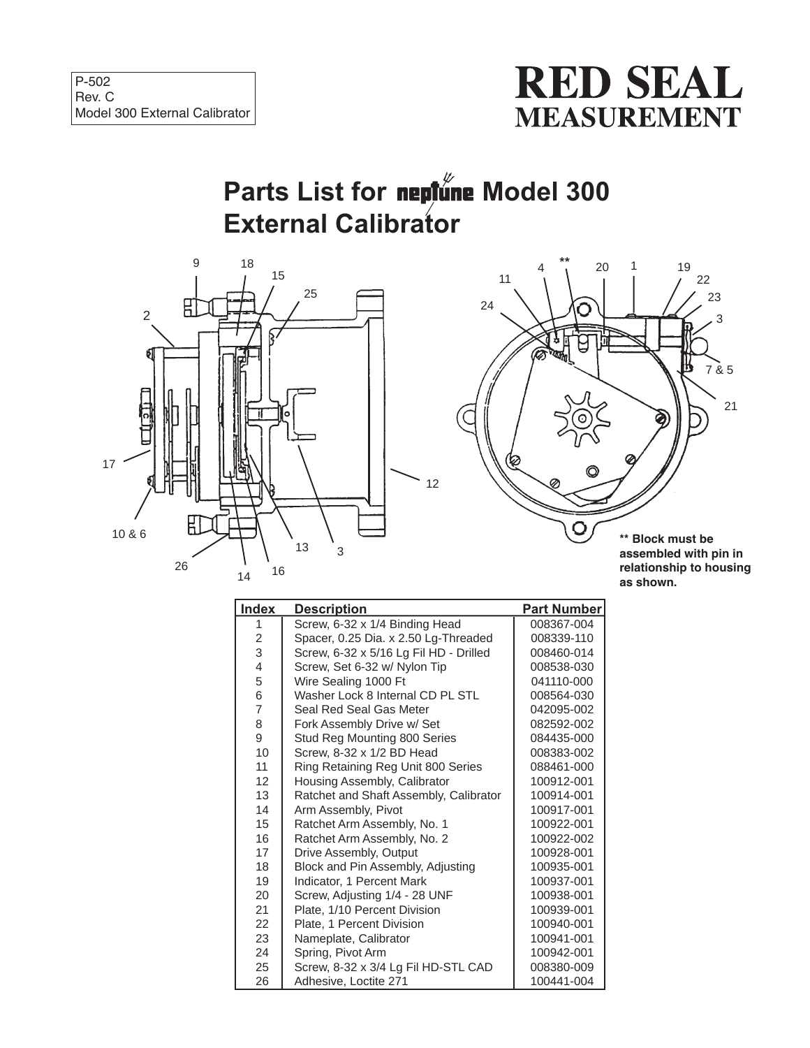

## **Parts List for neptune Model 300 External Calibrator**

12





**assembled with pin in relationship to housing as shown.**

| <b>Index</b>   | <b>Description</b>                     | <b>Part Number</b> |
|----------------|----------------------------------------|--------------------|
| 1              | Screw, 6-32 x 1/4 Binding Head         | 008367-004         |
| $\overline{c}$ | Spacer, 0.25 Dia. x 2.50 Lg-Threaded   | 008339-110         |
| 3              | Screw, 6-32 x 5/16 Lg Fil HD - Drilled | 008460-014         |
| 4              | Screw, Set 6-32 w/ Nylon Tip           | 008538-030         |
| 5              | Wire Sealing 1000 Ft                   | 041110-000         |
| 6              | Washer Lock 8 Internal CD PL STL       | 008564-030         |
| $\overline{7}$ | Seal Red Seal Gas Meter                | 042095-002         |
| 8              | Fork Assembly Drive w/ Set             | 082592-002         |
| 9              | Stud Reg Mounting 800 Series           | 084435-000         |
| 10             | Screw, 8-32 x 1/2 BD Head              | 008383-002         |
| 11             | Ring Retaining Reg Unit 800 Series     | 088461-000         |
| 12             | Housing Assembly, Calibrator           | 100912-001         |
| 13             | Ratchet and Shaft Assembly, Calibrator | 100914-001         |
| 14             | Arm Assembly, Pivot                    | 100917-001         |
| 15             | Ratchet Arm Assembly, No. 1            | 100922-001         |
| 16             | Ratchet Arm Assembly, No. 2            | 100922-002         |
| 17             | Drive Assembly, Output                 | 100928-001         |
| 18             | Block and Pin Assembly, Adjusting      | 100935-001         |
| 19             | Indicator, 1 Percent Mark              | 100937-001         |
| 20             | Screw, Adjusting 1/4 - 28 UNF          | 100938-001         |
| 21             | Plate, 1/10 Percent Division           | 100939-001         |
| 22             | Plate, 1 Percent Division              | 100940-001         |
| 23             | Nameplate, Calibrator                  | 100941-001         |
| 24             | Spring, Pivot Arm                      | 100942-001         |
| 25             | Screw, 8-32 x 3/4 Lg Fil HD-STL CAD    | 008380-009         |
| 26             | Adhesive, Loctite 271                  | 100441-004         |